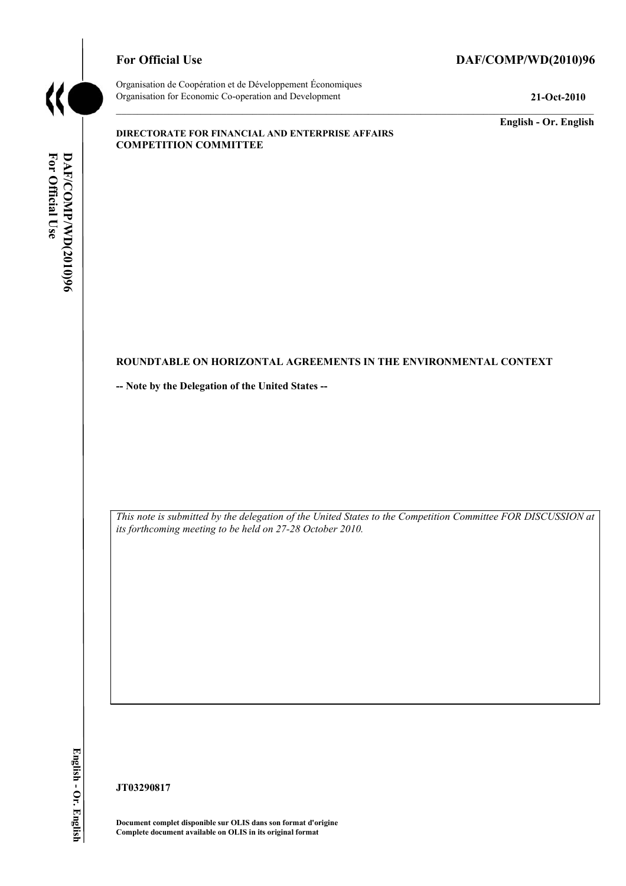

#### For Official Use DAF/COMP/WD(2010)96

Organisation de Coopération et de Développement Économiques Organisation for Economic Co-operation and Development **21-Oct-2010** 

**English - Or. English** 

#### **DIRECTORATE FOR FINANCIAL AND ENTERPRISE AFFAIRS COMPETITION COMMITTEE**

# For Official Use DAF/COMP/WD(2010)96 **For Official DAF/COMP**

#### **ROUNDTABLE ON HORIZONTAL AGREEMENTS IN THE ENVIRONMENTAL CONTEXT**

**-- Note by the Delegation of the United States --** 

 *This note is submitted by the delegation of the United States to the Competition Committee FOR DISCUSSION at its forthcoming meeting to be held on 27-28 October 2010.* 

**JT03290817** 

 **Document complet disponible sur OLIS dans son format d'origine Complete document available on OLIS in its original format**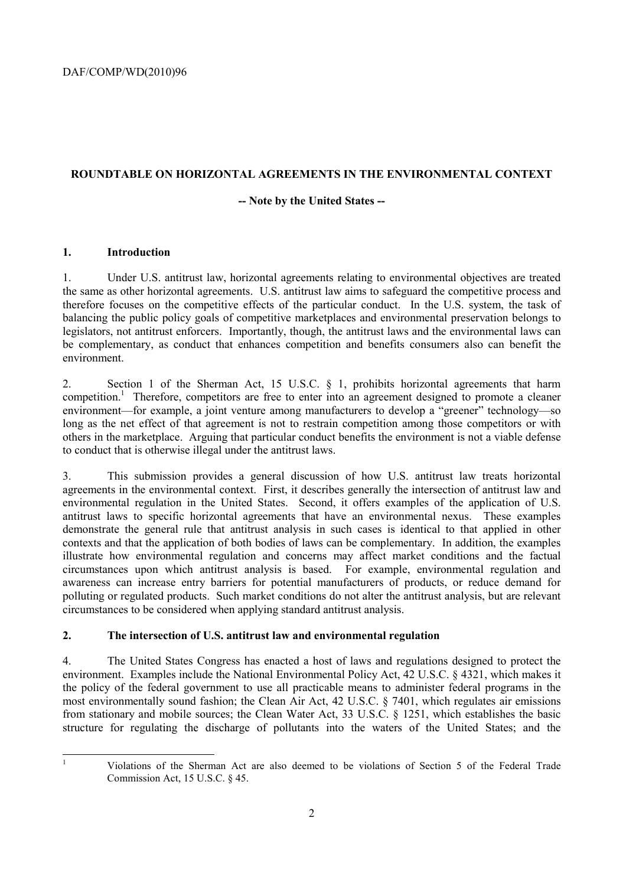# **ROUNDTABLE ON HORIZONTAL AGREEMENTS IN THE ENVIRONMENTAL CONTEXT**

#### **-- Note by the United States --**

#### **1. Introduction**

1. Under U.S. antitrust law, horizontal agreements relating to environmental objectives are treated the same as other horizontal agreements. U.S. antitrust law aims to safeguard the competitive process and therefore focuses on the competitive effects of the particular conduct. In the U.S. system, the task of balancing the public policy goals of competitive marketplaces and environmental preservation belongs to legislators, not antitrust enforcers. Importantly, though, the antitrust laws and the environmental laws can be complementary, as conduct that enhances competition and benefits consumers also can benefit the environment.

2. Section 1 of the Sherman Act, 15 U.S.C. § 1, prohibits horizontal agreements that harm competition.<sup>1</sup> Therefore, competitors are free to enter into an agreement designed to promote a cleaner environment—for example, a joint venture among manufacturers to develop a "greener" technology—so long as the net effect of that agreement is not to restrain competition among those competitors or with others in the marketplace. Arguing that particular conduct benefits the environment is not a viable defense to conduct that is otherwise illegal under the antitrust laws.

 contexts and that the application of both bodies of laws can be complementary. In addition, the examples 3. This submission provides a general discussion of how U.S. antitrust law treats horizontal agreements in the environmental context. First, it describes generally the intersection of antitrust law and environmental regulation in the United States. Second, it offers examples of the application of U.S. antitrust laws to specific horizontal agreements that have an environmental nexus. These examples demonstrate the general rule that antitrust analysis in such cases is identical to that applied in other illustrate how environmental regulation and concerns may affect market conditions and the factual circumstances upon which antitrust analysis is based. For example, environmental regulation and awareness can increase entry barriers for potential manufacturers of products, or reduce demand for polluting or regulated products. Such market conditions do not alter the antitrust analysis, but are relevant circumstances to be considered when applying standard antitrust analysis.

# **2. The intersection of U.S. antitrust law and environmental regulation**

4. The United States Congress has enacted a host of laws and regulations designed to protect the environment. Examples include the National Environmental Policy Act, 42 U.S.C. § 4321, which makes it the policy of the federal government to use all practicable means to administer federal programs in the most environmentally sound fashion; the Clean Air Act, 42 U.S.C. § 7401, which regulates air emissions from stationary and mobile sources; the Clean Water Act, 33 U.S.C. § 1251, which establishes the basic structure for regulating the discharge of pollutants into the waters of the United States; and the

 1

Violations of the Sherman Act are also deemed to be violations of Section 5 of the Federal Trade Commission Act, 15 U.S.C. § 45.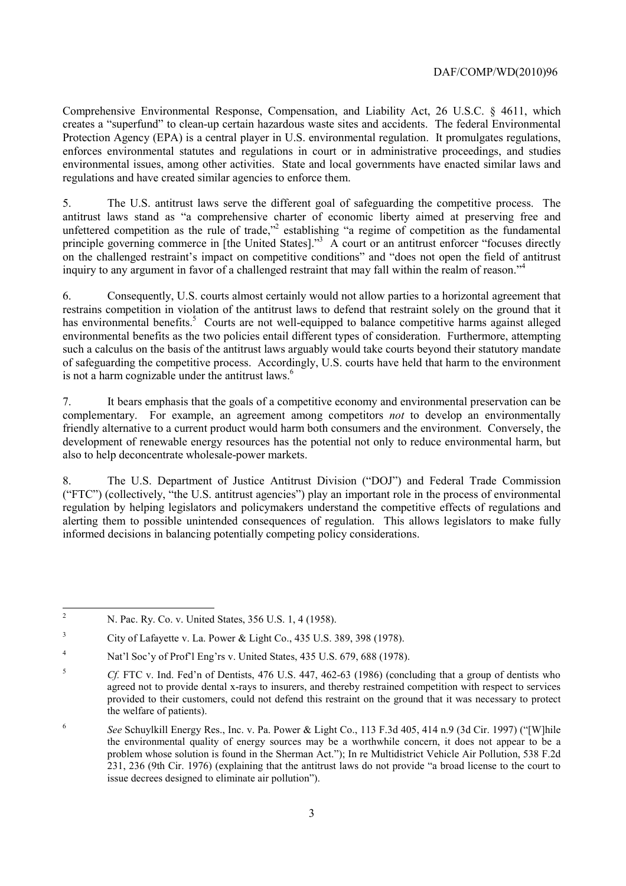Comprehensive Environmental Response, Compensation, and Liability Act, 26 U.S.C. § 4611, which creates a "superfund" to clean-up certain hazardous waste sites and accidents. The federal Environmental Protection Agency (EPA) is a central player in U.S. environmental regulation. It promulgates regulations, enforces environmental statutes and regulations in court or in administrative proceedings, and studies environmental issues, among other activities. State and local governments have enacted similar laws and regulations and have created similar agencies to enforce them.

 5. The U.S. antitrust laws serve the different goal of safeguarding the competitive process. The inquiry to any argument in favor of a challenged restraint that may fall within the realm of reason."<sup>4</sup> antitrust laws stand as "a comprehensive charter of economic liberty aimed at preserving free and unfettered competition as the rule of trade,"<sup>2</sup> establishing "a regime of competition as the fundamental principle governing commerce in [the United States]."<sup>3</sup> A court or an antitrust enforcer "focuses directly on the challenged restraint's impact on competitive conditions" and "does not open the field of antitrust

 such a calculus on the basis of the antitrust laws arguably would take courts beyond their statutory mandate is not a harm cognizable under the antitrust laws.<sup>6</sup> 6. Consequently, U.S. courts almost certainly would not allow parties to a horizontal agreement that restrains competition in violation of the antitrust laws to defend that restraint solely on the ground that it has environmental benefits.<sup>5</sup> Courts are not well-equipped to balance competitive harms against alleged environmental benefits as the two policies entail different types of consideration. Furthermore, attempting of safeguarding the competitive process. Accordingly, U.S. courts have held that harm to the environment

7. It bears emphasis that the goals of a competitive economy and environmental preservation can be complementary. For example, an agreement among competitors *not* to develop an environmentally friendly alternative to a current product would harm both consumers and the environment. Conversely, the development of renewable energy resources has the potential not only to reduce environmental harm, but also to help deconcentrate wholesale-power markets.

 ("FTC") (collectively, "the U.S. antitrust agencies") play an important role in the process of environmental 8. The U.S. Department of Justice Antitrust Division ("DOJ") and Federal Trade Commission regulation by helping legislators and policymakers understand the competitive effects of regulations and alerting them to possible unintended consequences of regulation. This allows legislators to make fully informed decisions in balancing potentially competing policy considerations.

 $\overline{a}$ 2 N. Pac. Ry. Co. v. United States, 356 U.S. 1, 4 (1958).

 $\mathfrak z$ 3 City of Lafayette v. La. Power & Light Co., 435 U.S. 389, 398 (1978).

<sup>4</sup> Nat'l Soc'y of Prof'l Eng'rs v. United States, 435 U.S. 679, 688 (1978).

 agreed not to provide dental x-rays to insurers, and thereby restrained competition with respect to services <sup>5</sup>*Cf.* FTC v. Ind. Fed'n of Dentists, 476 U.S. 447, 462-63 (1986) (concluding that a group of dentists who provided to their customers, could not defend this restraint on the ground that it was necessary to protect the welfare of patients).

 the environmental quality of energy sources may be a worthwhile concern, it does not appear to be a <sup>6</sup>*See* Schuylkill Energy Res., Inc. v. Pa. Power & Light Co., 113 F.3d 405, 414 n.9 (3d Cir. 1997) ("[W]hile problem whose solution is found in the Sherman Act."); In re Multidistrict Vehicle Air Pollution, 538 F.2d 231, 236 (9th Cir. 1976) (explaining that the antitrust laws do not provide "a broad license to the court to issue decrees designed to eliminate air pollution").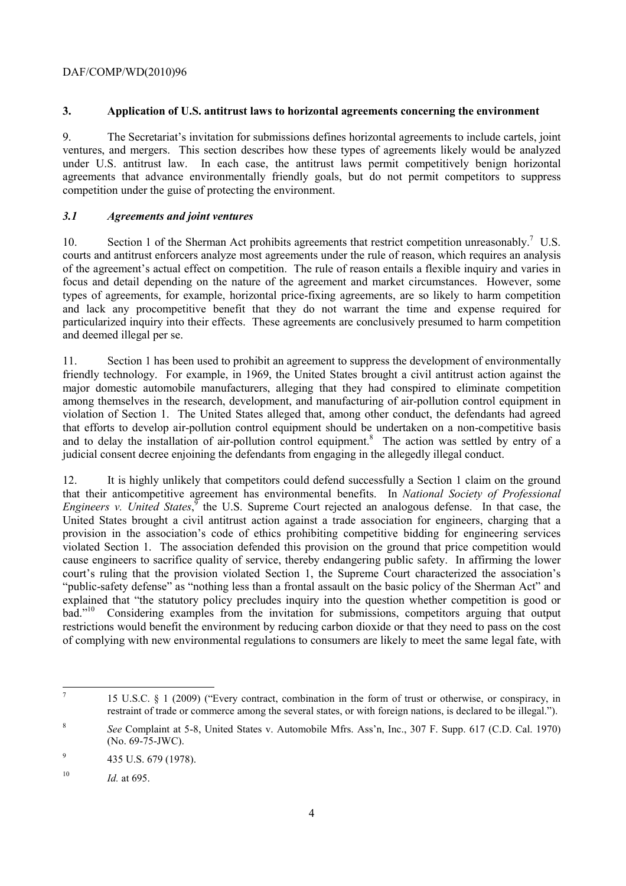# DAF/COMP/WD(2010)96

# **3. Application of U.S. antitrust laws to horizontal agreements concerning the environment**

 under U.S. antitrust law. In each case, the antitrust laws permit competitively benign horizontal 9. The Secretariat's invitation for submissions defines horizontal agreements to include cartels, joint ventures, and mergers. This section describes how these types of agreements likely would be analyzed agreements that advance environmentally friendly goals, but do not permit competitors to suppress competition under the guise of protecting the environment.

# *3.1 Agreements and joint ventures*

 courts and antitrust enforcers analyze most agreements under the rule of reason, which requires an analysis and deemed illegal per se. 10. Section 1 of the Sherman Act prohibits agreements that restrict competition unreasonably.<sup>7</sup> U.S. of the agreement's actual effect on competition. The rule of reason entails a flexible inquiry and varies in focus and detail depending on the nature of the agreement and market circumstances. However, some types of agreements, for example, horizontal price-fixing agreements, are so likely to harm competition and lack any procompetitive benefit that they do not warrant the time and expense required for particularized inquiry into their effects. These agreements are conclusively presumed to harm competition

11. Section 1 has been used to prohibit an agreement to suppress the development of environmentally friendly technology. For example, in 1969, the United States brought a civil antitrust action against the major domestic automobile manufacturers, alleging that they had conspired to eliminate competition among themselves in the research, development, and manufacturing of air-pollution control equipment in violation of Section 1. The United States alleged that, among other conduct, the defendants had agreed that efforts to develop air-pollution control equipment should be undertaken on a non-competitive basis and to delay the installation of air-pollution control equipment.<sup>8</sup> The action was settled by entry of a judicial consent decree enjoining the defendants from engaging in the allegedly illegal conduct.

 violated Section 1. The association defended this provision on the ground that price competition would restrictions would benefit the environment by reducing carbon dioxide or that they need to pass on the cost 12. It is highly unlikely that competitors could defend successfully a Section 1 claim on the ground that their anticompetitive agreement has environmental benefits. In *National Society of Professional Engineers v. United States*,<sup>9</sup> the U.S. Supreme Court rejected an analogous defense. In that case, the United States brought a civil antitrust action against a trade association for engineers, charging that a provision in the association's code of ethics prohibiting competitive bidding for engineering services cause engineers to sacrifice quality of service, thereby endangering public safety. In affirming the lower court's ruling that the provision violated Section 1, the Supreme Court characterized the association's "public-safety defense" as "nothing less than a frontal assault on the basic policy of the Sherman Act" and explained that "the statutory policy precludes inquiry into the question whether competition is good or bad."<sup>10</sup> Considering examples from the invitation for submissions, competitors arguing that output of complying with new environmental regulations to consumers are likely to meet the same legal fate, with

 $\overline{a}$ 

<sup>7 15</sup> U.S.C. § 1 (2009) ("Every contract, combination in the form of trust or otherwise, or conspiracy, in restraint of trade or commerce among the several states, or with foreign nations, is declared to be illegal.").

<sup>8</sup>*See* Complaint at 5-8, United States v. Automobile Mfrs. Ass'n, Inc., 307 F. Supp. 617 (C.D. Cal. 1970) (No. 69-75-JWC).

 $9$  435 U.S. 679 (1978).

<sup>&</sup>lt;sup>10</sup> *Id.* at 695.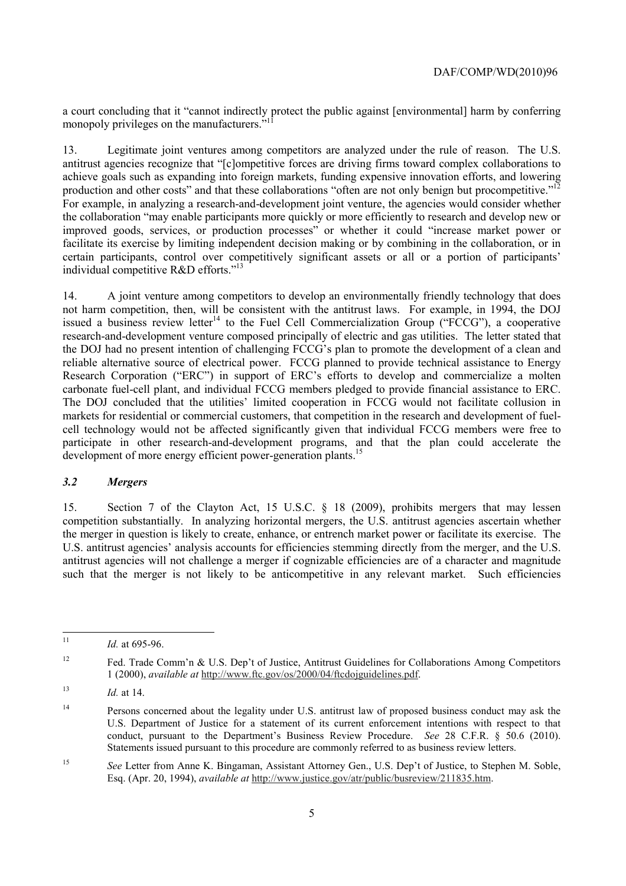a court concluding that it "cannot indirectly protect the public against [environmental] harm by conferring monopoly privileges on the manufacturers."<sup>11</sup>

production and other costs" and that these collaborations "often are not only benign but procompetitive."<sup>12</sup> 13. Legitimate joint ventures among competitors are analyzed under the rule of reason. The U.S. antitrust agencies recognize that "[c]ompetitive forces are driving firms toward complex collaborations to achieve goals such as expanding into foreign markets, funding expensive innovation efforts, and lowering For example, in analyzing a research-and-development joint venture, the agencies would consider whether the collaboration "may enable participants more quickly or more efficiently to research and develop new or improved goods, services, or production processes" or whether it could "increase market power or facilitate its exercise by limiting independent decision making or by combining in the collaboration, or in certain participants, control over competitively significant assets or all or a portion of participants' individual competitive R&D efforts."<sup>13</sup>

carbonate fuel-cell plant, and individual FCCG members pledged to provide financial assistance to ERC. cell technology would not be affected significantly given that individual FCCG members were free to 14. A joint venture among competitors to develop an environmentally friendly technology that does not harm competition, then, will be consistent with the antitrust laws. For example, in 1994, the DOJ issued a business review letter<sup>14</sup> to the Fuel Cell Commercialization Group (" $\overline{FCCG}$ "), a cooperative research-and-development venture composed principally of electric and gas utilities. The letter stated that the DOJ had no present intention of challenging FCCG's plan to promote the development of a clean and reliable alternative source of electrical power. FCCG planned to provide technical assistance to Energy Research Corporation ("ERC") in support of ERC's efforts to develop and commercialize a molten The DOJ concluded that the utilities' limited cooperation in FCCG would not facilitate collusion in markets for residential or commercial customers, that competition in the research and development of fuelparticipate in other research-and-development programs, and that the plan could accelerate the development of more energy efficient power-generation plants.<sup>15</sup>

#### *3.2 Mergers*

 the merger in question is likely to create, enhance, or entrench market power or facilitate its exercise. The 15. Section 7 of the Clayton Act, 15 U.S.C. § 18 (2009), prohibits mergers that may lessen competition substantially. In analyzing horizontal mergers, the U.S. antitrust agencies ascertain whether U.S. antitrust agencies' analysis accounts for efficiencies stemming directly from the merger, and the U.S. antitrust agencies will not challenge a merger if cognizable efficiencies are of a character and magnitude such that the merger is not likely to be anticompetitive in any relevant market. Such efficiencies

 $\overline{a}$ 

Id. at 695-96.

 $12$ Fed. Trade Comm'n & U.S. Dep't of Justice, Antitrust Guidelines for Collaborations Among Competitors 1 (2000), *available at* http://www.ftc.gov/os/2000/04/ftcdojguidelines.pdf.

<sup>13</sup>*Id.* at 14.

 $14$  conduct, pursuant to the Department's Business Review Procedure. *See* 28 C.F.R. § 50.6 (2010). 14 Persons concerned about the legality under U.S. antitrust law of proposed business conduct may ask the U.S. Department of Justice for a statement of its current enforcement intentions with respect to that Statements issued pursuant to this procedure are commonly referred to as business review letters.

<sup>15</sup>*See* Letter from Anne K. Bingaman, Assistant Attorney Gen., U.S. Dep't of Justice, to Stephen M. Soble, Esq. (Apr. 20, 1994), *available at* http://www.justice.gov/atr/public/busreview/211835.htm.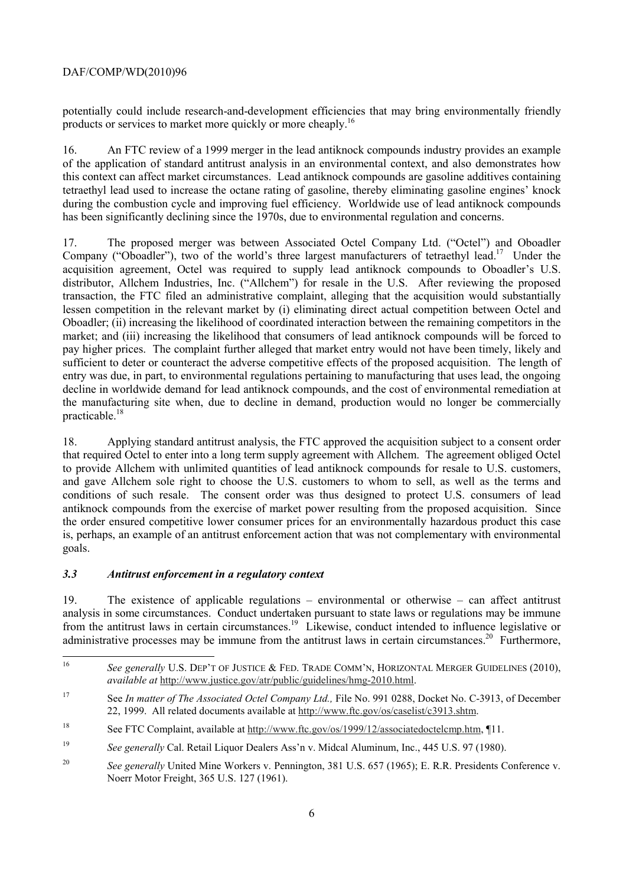# DAF/COMP/WD(2010)96

potentially could include research-and-development efficiencies that may bring environmentally friendly products or services to market more quickly or more cheaply.16

16. An FTC review of a 1999 merger in the lead antiknock compounds industry provides an example of the application of standard antitrust analysis in an environmental context, and also demonstrates how this context can affect market circumstances. Lead antiknock compounds are gasoline additives containing tetraethyl lead used to increase the octane rating of gasoline, thereby eliminating gasoline engines' knock during the combustion cycle and improving fuel efficiency. Worldwide use of lead antiknock compounds has been significantly declining since the 1970s, due to environmental regulation and concerns.

 market; and (iii) increasing the likelihood that consumers of lead antiknock compounds will be forced to practicable.<sup>18</sup> 17. The proposed merger was between Associated Octel Company Ltd. ("Octel") and Oboadler Company ("Oboadler"), two of the world's three largest manufacturers of tetraethyl lead.<sup>17</sup> Under the acquisition agreement, Octel was required to supply lead antiknock compounds to Oboadler's U.S. distributor, Allchem Industries, Inc. ("Allchem") for resale in the U.S. After reviewing the proposed transaction, the FTC filed an administrative complaint, alleging that the acquisition would substantially lessen competition in the relevant market by (i) eliminating direct actual competition between Octel and Oboadler; (ii) increasing the likelihood of coordinated interaction between the remaining competitors in the pay higher prices. The complaint further alleged that market entry would not have been timely, likely and sufficient to deter or counteract the adverse competitive effects of the proposed acquisition. The length of entry was due, in part, to environmental regulations pertaining to manufacturing that uses lead, the ongoing decline in worldwide demand for lead antiknock compounds, and the cost of environmental remediation at the manufacturing site when, due to decline in demand, production would no longer be commercially

 goals. 18. Applying standard antitrust analysis, the FTC approved the acquisition subject to a consent order that required Octel to enter into a long term supply agreement with Allchem. The agreement obliged Octel to provide Allchem with unlimited quantities of lead antiknock compounds for resale to U.S. customers, and gave Allchem sole right to choose the U.S. customers to whom to sell, as well as the terms and conditions of such resale. The consent order was thus designed to protect U.S. consumers of lead antiknock compounds from the exercise of market power resulting from the proposed acquisition. Since the order ensured competitive lower consumer prices for an environmentally hazardous product this case is, perhaps, an example of an antitrust enforcement action that was not complementary with environmental

# *3.3 Antitrust enforcement in a regulatory context*

19. The existence of applicable regulations – environmental or otherwise – can affect antitrust analysis in some circumstances. Conduct undertaken pursuant to state laws or regulations may be immune from the antitrust laws in certain circumstances.<sup>19</sup> Likewise, conduct intended to influence legislative or administrative processes may be immune from the antitrust laws in certain circumstances.<sup>20</sup> Furthermore,

<sup>16</sup>*See generally* U.S. DEP'T OF JUSTICE & FED. TRADE COMM'N, HORIZONTAL MERGER GUIDELINES (2010), *available at* http://www.justice.gov/atr/public/guidelines/hmg-2010.html.

 $17$ 17 See *In matter of The Associated Octel Company Ltd.,* File No. 991 0288, Docket No. C-3913, of December 22, 1999. All related documents available at http://www.ftc.gov/os/caselist/c3913.shtm.

<sup>18</sup> See FTC Complaint, available at http://www.ftc.gov/os/1999/12/associatedoctelcmp.htm, ¶11.

<sup>19</sup> <sup>19</sup>*See generally* Cal. Retail Liquor Dealers Ass'n v. Midcal Aluminum, Inc., 445 U.S. 97 (1980).

<sup>20</sup>*See generally* United Mine Workers v. Pennington, 381 U.S. 657 (1965); E. R.R. Presidents Conference v. Noerr Motor Freight, 365 U.S. 127 (1961).